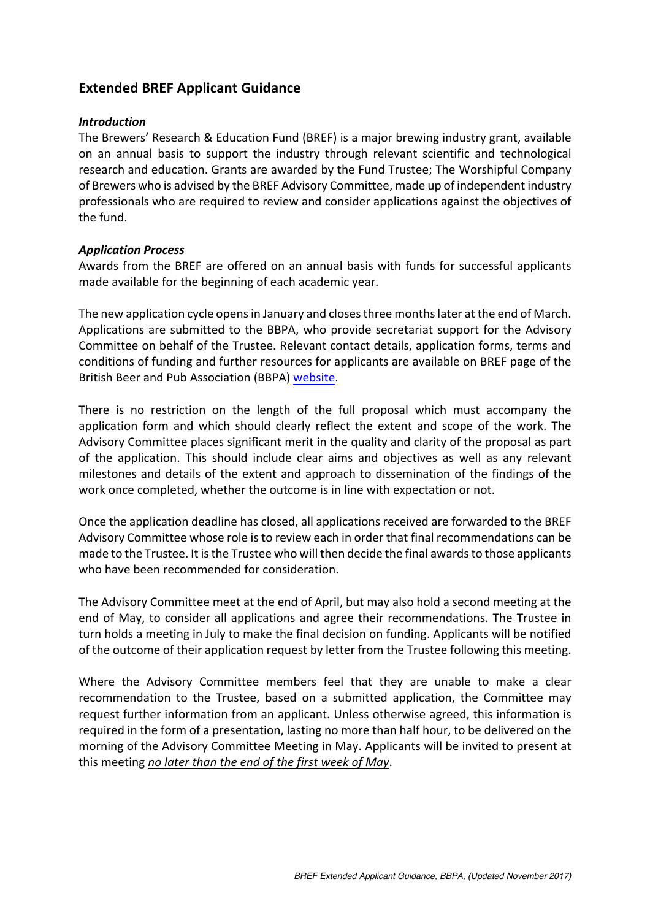# **Extended BREF Applicant Guidance**

#### *Introduction*

The Brewers' Research & Education Fund (BREF) is a major brewing industry grant, available on an annual basis to support the industry through relevant scientific and technological research and education. Grants are awarded by the Fund Trustee; The Worshipful Company of Brewers who is advised by the BREF Advisory Committee, made up of independent industry professionals who are required to review and consider applications against the objectives of the fund.

#### *Application Process*

Awards from the BREF are offered on an annual basis with funds for successful applicants made available for the beginning of each academic year.

The new application cycle opens in January and closes three months later at the end of March. Applications are submitted to the BBPA, who provide secretariat support for the Advisory Committee on behalf of the Trustee. Relevant contact details, application forms, terms and conditions of funding and further resources for applicants are available on BREF page of the British Beer and Pub Association (BBPA) website.

There is no restriction on the length of the full proposal which must accompany the application form and which should clearly reflect the extent and scope of the work. The Advisory Committee places significant merit in the quality and clarity of the proposal as part of the application. This should include clear aims and objectives as well as any relevant milestones and details of the extent and approach to dissemination of the findings of the work once completed, whether the outcome is in line with expectation or not.

Once the application deadline has closed, all applications received are forwarded to the BREF Advisory Committee whose role is to review each in order that final recommendations can be made to the Trustee. It is the Trustee who will then decide the final awards to those applicants who have been recommended for consideration.

The Advisory Committee meet at the end of April, but may also hold a second meeting at the end of May, to consider all applications and agree their recommendations. The Trustee in turn holds a meeting in July to make the final decision on funding. Applicants will be notified of the outcome of their application request by letter from the Trustee following this meeting.

Where the Advisory Committee members feel that they are unable to make a clear recommendation to the Trustee, based on a submitted application, the Committee may request further information from an applicant. Unless otherwise agreed, this information is required in the form of a presentation, lasting no more than half hour, to be delivered on the morning of the Advisory Committee Meeting in May. Applicants will be invited to present at this meeting *no later than the end of the first week of May*.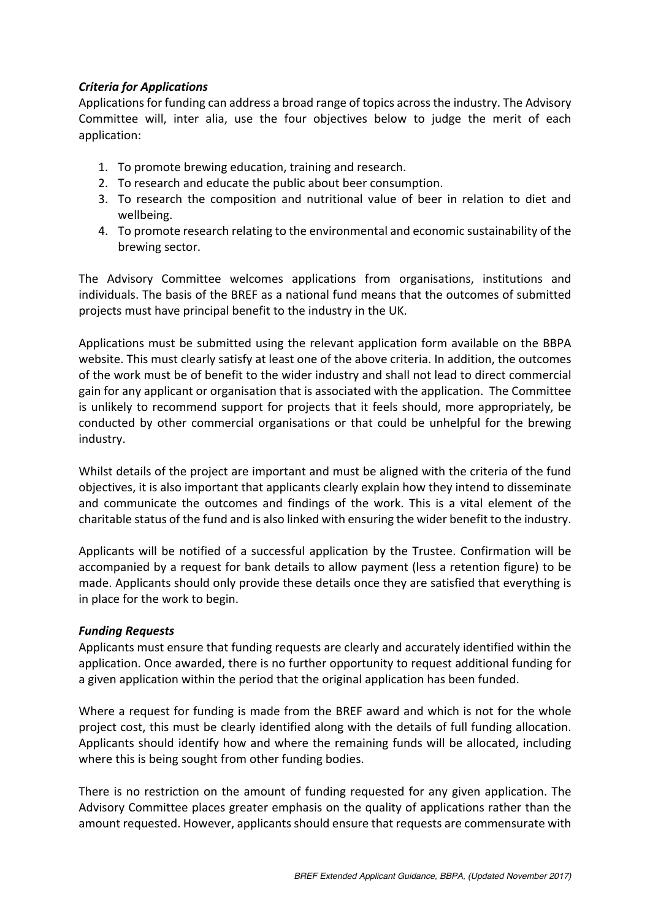### *Criteria for Applications*

Applicationsfor funding can address a broad range of topics acrossthe industry. The Advisory Committee will, inter alia, use the four objectives below to judge the merit of each application:

- 1. To promote brewing education, training and research.
- 2. To research and educate the public about beer consumption.
- 3. To research the composition and nutritional value of beer in relation to diet and wellbeing.
- 4. To promote research relating to the environmental and economic sustainability of the brewing sector.

The Advisory Committee welcomes applications from organisations, institutions and individuals. The basis of the BREF as a national fund means that the outcomes of submitted projects must have principal benefit to the industry in the UK.

Applications must be submitted using the relevant application form available on the BBPA website. This must clearly satisfy at least one of the above criteria. In addition, the outcomes of the work must be of benefit to the wider industry and shall not lead to direct commercial gain for any applicant or organisation that is associated with the application. The Committee is unlikely to recommend support for projects that it feels should, more appropriately, be conducted by other commercial organisations or that could be unhelpful for the brewing industry.

Whilst details of the project are important and must be aligned with the criteria of the fund objectives, it is also important that applicants clearly explain how they intend to disseminate and communicate the outcomes and findings of the work. This is a vital element of the charitable status of the fund and is also linked with ensuring the wider benefit to the industry.

Applicants will be notified of a successful application by the Trustee. Confirmation will be accompanied by a request for bank details to allow payment (less a retention figure) to be made. Applicants should only provide these details once they are satisfied that everything is in place for the work to begin.

#### *Funding Requests*

Applicants must ensure that funding requests are clearly and accurately identified within the application. Once awarded, there is no further opportunity to request additional funding for a given application within the period that the original application has been funded.

Where a request for funding is made from the BREF award and which is not for the whole project cost, this must be clearly identified along with the details of full funding allocation. Applicants should identify how and where the remaining funds will be allocated, including where this is being sought from other funding bodies.

There is no restriction on the amount of funding requested for any given application. The Advisory Committee places greater emphasis on the quality of applications rather than the amount requested. However, applicants should ensure that requests are commensurate with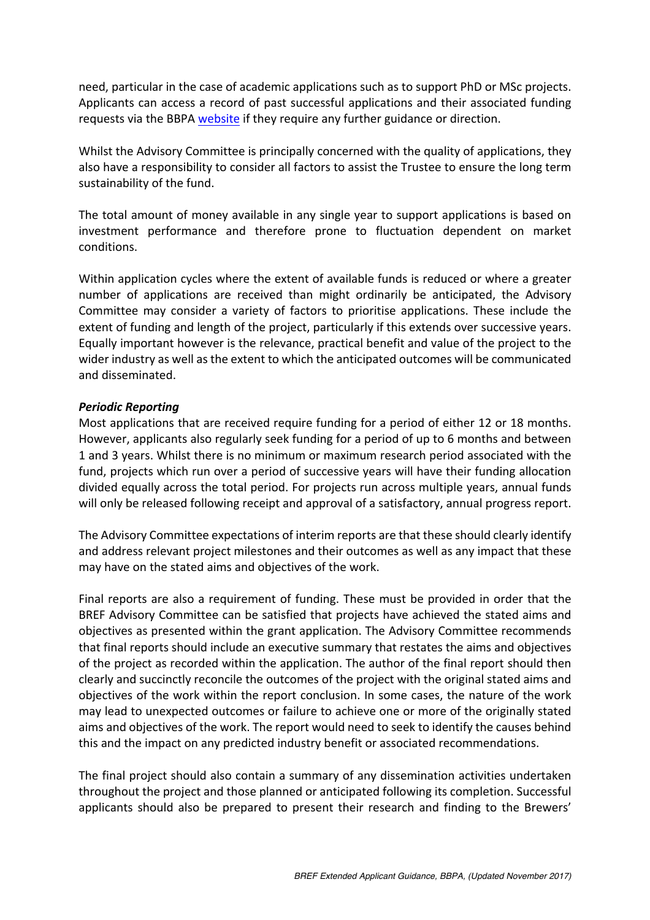need, particular in the case of academic applications such as to support PhD or MSc projects. Applicants can access a record of past successful applications and their associated funding requests via the BBPA website if they require any further guidance or direction.

Whilst the Advisory Committee is principally concerned with the quality of applications, they also have a responsibility to consider all factors to assist the Trustee to ensure the long term sustainability of the fund.

The total amount of money available in any single year to support applications is based on investment performance and therefore prone to fluctuation dependent on market conditions.

Within application cycles where the extent of available funds is reduced or where a greater number of applications are received than might ordinarily be anticipated, the Advisory Committee may consider a variety of factors to prioritise applications. These include the extent of funding and length of the project, particularly if this extends over successive years. Equally important however is the relevance, practical benefit and value of the project to the wider industry as well as the extent to which the anticipated outcomes will be communicated and disseminated.

### *Periodic Reporting*

Most applications that are received require funding for a period of either 12 or 18 months. However, applicants also regularly seek funding for a period of up to 6 months and between 1 and 3 years. Whilst there is no minimum or maximum research period associated with the fund, projects which run over a period of successive years will have their funding allocation divided equally across the total period. For projects run across multiple years, annual funds will only be released following receipt and approval of a satisfactory, annual progress report.

The Advisory Committee expectations of interim reports are that these should clearly identify and address relevant project milestones and their outcomes as well as any impact that these may have on the stated aims and objectives of the work.

Final reports are also a requirement of funding. These must be provided in order that the BREF Advisory Committee can be satisfied that projects have achieved the stated aims and objectives as presented within the grant application. The Advisory Committee recommends that final reports should include an executive summary that restates the aims and objectives of the project as recorded within the application. The author of the final report should then clearly and succinctly reconcile the outcomes of the project with the original stated aims and objectives of the work within the report conclusion. In some cases, the nature of the work may lead to unexpected outcomes or failure to achieve one or more of the originally stated aims and objectives of the work. The report would need to seek to identify the causes behind this and the impact on any predicted industry benefit or associated recommendations.

The final project should also contain a summary of any dissemination activities undertaken throughout the project and those planned or anticipated following its completion. Successful applicants should also be prepared to present their research and finding to the Brewers'